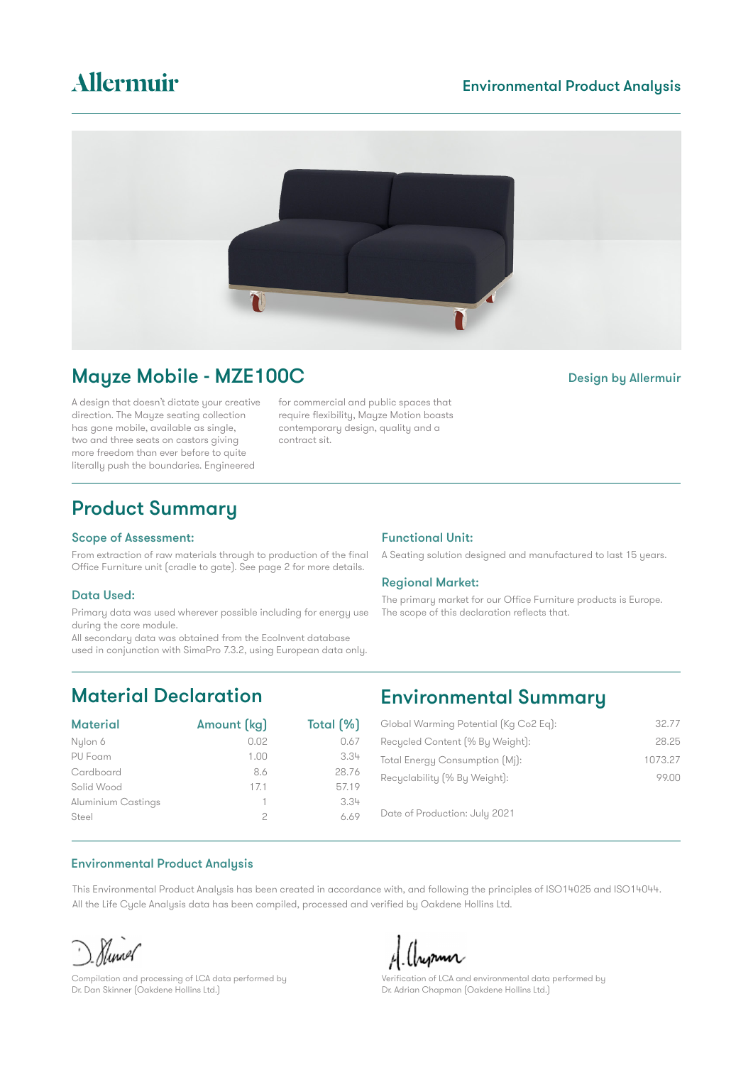## Environmental Product Analysis



## Mayze Mobile - MZE100C Design by Allermuir

A design that doesn't dictate your creative direction. The Mayze seating collection has gone mobile, available as single, two and three seats on castors giving more freedom than ever before to quite literally push the boundaries. Engineered

for commercial and public spaces that require flexibility, Mayze Motion boasts contemporary design, quality and a contract sit.

## Product Summary

#### Scope of Assessment:

From extraction of raw materials through to production of the final Office Furniture unit (cradle to gate). See page 2 for more details.

#### Data Used:

Primary data was used wherever possible including for energy use during the core module.

All secondary data was obtained from the Ecolnvent database used in conjunction with SimaPro 7.3.2, using European data only.

### Functional Unit:

A Seating solution designed and manufactured to last 15 years.

#### Regional Market:

The primary market for our Office Furniture products is Europe. The scope of this declaration reflects that.

# Material Declaration

| <b>Material</b>    | Amount (kg) | Total [%] |
|--------------------|-------------|-----------|
| Nylon 6            | 0.02        | 0.67      |
| PU Foam            | 1.00        | 3.34      |
| Cardboard          | 8.6         | 28.76     |
| Solid Wood         | 17.1        | 57.19     |
| Aluminium Castings |             | 3.34      |
| Steel              |             | 6.69      |

## Environmental Summary

| Global Warming Potential [Kg Co2 Eq]: | 32.77   |
|---------------------------------------|---------|
| Recucled Content (% By Weight):       | 28.25   |
| Total Energy Consumption [Mj]:        | 1073.27 |
| Recyclability (% By Weight):          | 99.00   |
|                                       |         |

Date of Production: July 2021

## Environmental Product Analysis

This Environmental Product Analysis has been created in accordance with, and following the principles of ISO14025 and ISO14044. All the Life Cycle Analysis data has been compiled, processed and verified by Oakdene Hollins Ltd.

Nunol

Compilation and processing of LCA data performed by Dr. Dan Skinner (Oakdene Hollins Ltd.)

Aupun

Verification of LCA and environmental data performed by Dr. Adrian Chapman (Oakdene Hollins Ltd.)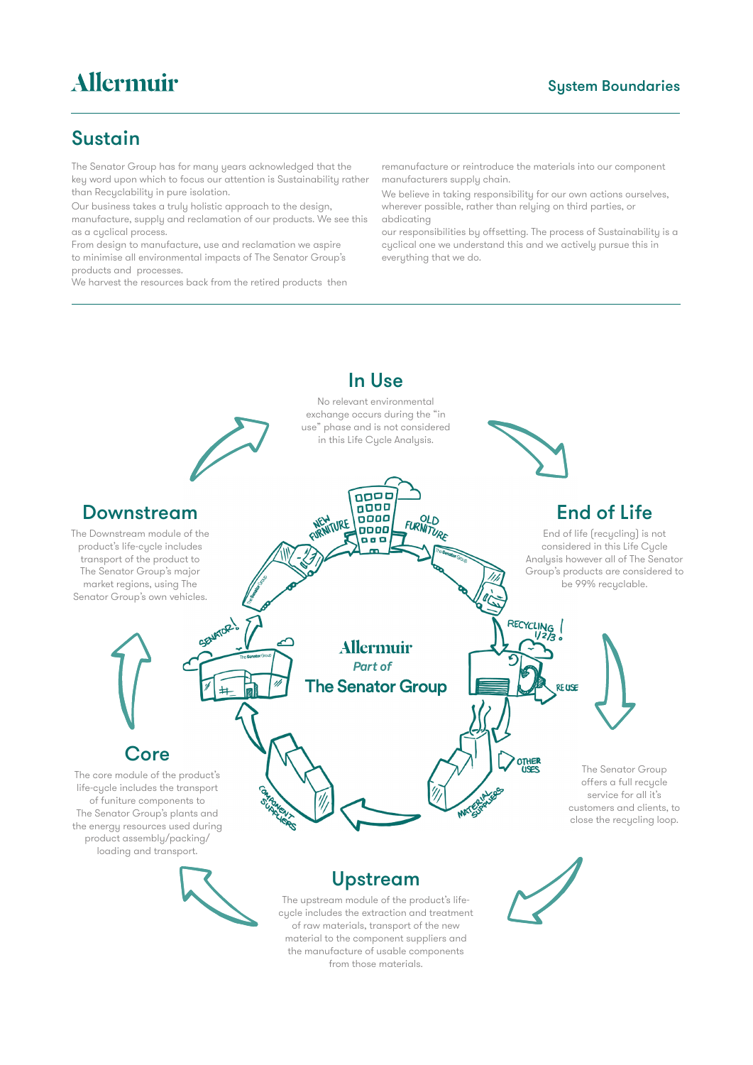## Sustain

The Senator Group has for many years acknowledged that the key word upon which to focus our attention is Sustainability rather than Recyclability in pure isolation.

Our business takes a truly holistic approach to the design, manufacture, supply and reclamation of our products. We see this as a cyclical process.

From design to manufacture, use and reclamation we aspire to minimise all environmental impacts of The Senator Group's products and processes.

We harvest the resources back from the retired products then

remanufacture or reintroduce the materials into our component manufacturers supply chain.

We believe in taking responsibility for our own actions ourselves, wherever possible, rather than relying on third parties, or abdicating

our responsibilities by offsetting. The process of Sustainability is a cyclical one we understand this and we actively pursue this in everything that we do.

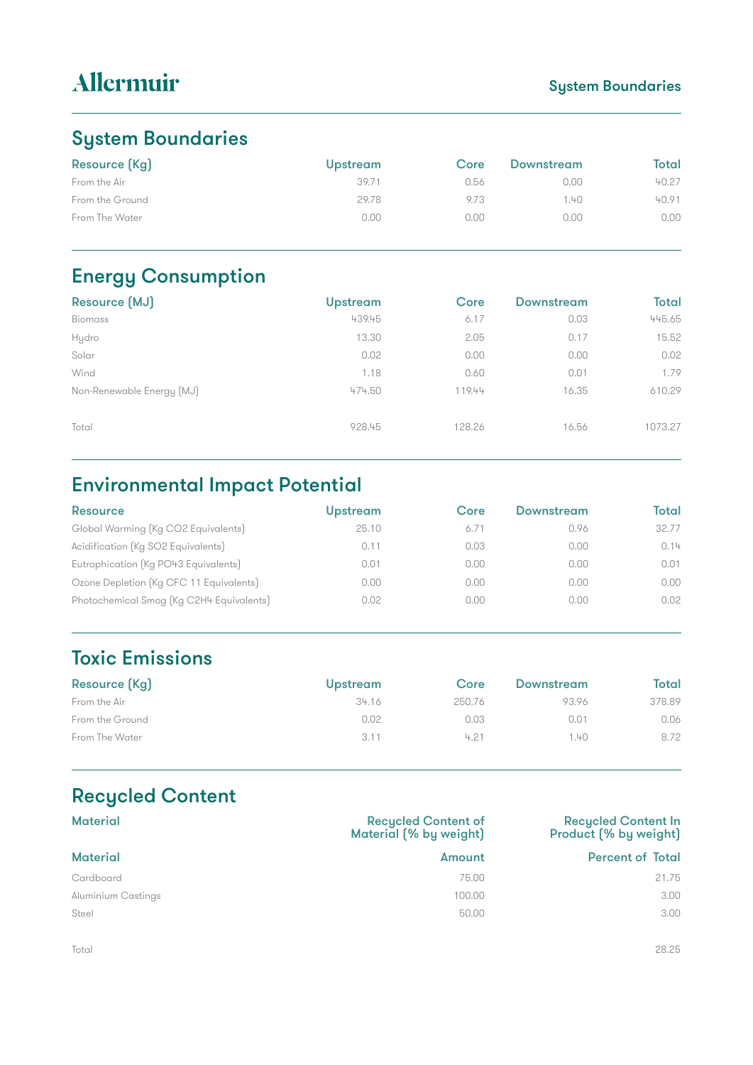## System Boundaries

# System Boundaries

| <b>Resource (Kg)</b> | <b>Upstream</b> | Core | Downstream | Total |
|----------------------|-----------------|------|------------|-------|
| From the Air         | 39.71           | 0.56 | 0.00       | 40.27 |
| From the Ground      | 29.78           | 9.73 | .40        | 40.91 |
| From The Water       | 0.00            | 0.00 | 0.00       | 0.00  |

# Energy Consumption

| Resource [MJ]             | <b>Upstream</b> | Core   | <b>Downstream</b> | Total   |
|---------------------------|-----------------|--------|-------------------|---------|
| <b>Biomass</b>            | 439.45          | 6.17   | 0.03              | 445.65  |
| Hydro                     | 13.30           | 2.05   | 0.17              | 15.52   |
| Solar                     | 0.02            | 0.00   | 0.00              | 0.02    |
| Wind                      | 1.18            | 0.60   | 0.01              | 1.79    |
| Non-Renewable Energy (MJ) | 474.50          | 119.44 | 16.35             | 610.29  |
|                           |                 |        |                   |         |
| Total                     | 928.45          | 128.26 | 16.56             | 1073.27 |
|                           |                 |        |                   |         |

# Environmental Impact Potential

| <b>Resource</b>                          | <b>Upstream</b> | Core | Downstream | <b>Total</b> |
|------------------------------------------|-----------------|------|------------|--------------|
| Global Warming (Kg CO2 Equivalents)      | 25.10           | 6.71 | 0.96       | 32.77        |
| Acidification (Kg SO2 Equivalents)       | 0.11            | 0.03 | 0.00       | 0.14         |
| Eutrophication (Kg PO43 Equivalents)     | 0.01            | 0.00 | 0.00       | 0.01         |
| Ozone Depletion (Kg CFC 11 Equivalents)  | 0.00            | 0.00 | 0.00       | 0.00         |
| Photochemical Smog (Kg C2H4 Equivalents) | 0.02            | 0.00 | 0.00       | 0.02         |

# Toxic Emissions

| Resource (Kg)   | <b>Upstream</b> | Core   | Downstream | Total  |
|-----------------|-----------------|--------|------------|--------|
| From the Air    | 34.16           | 250.76 | 93.96      | 378.89 |
| From the Ground | 0.02            | 0.03   | 0.01       | 0.06   |
| From The Water  | 3.11            | 4.21   | 1.40       | 8.72   |

# Recycled Content

| <b>Material</b>    | <b>Recycled Content of</b><br>Material (% by weight) | <b>Recycled Content In</b><br>Product (% by weight) |
|--------------------|------------------------------------------------------|-----------------------------------------------------|
| <b>Material</b>    | Amount                                               | <b>Percent of Total</b>                             |
| Cardboard          | 75.00                                                | 21.75                                               |
| Aluminium Castings | 100.00                                               | 3.00                                                |
| Steel              | 50.00                                                | 3.00                                                |

Total 28.25